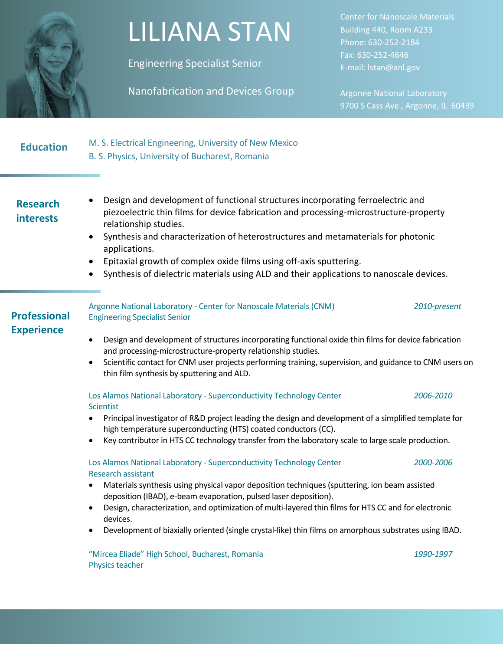

## LILIANA STAN

Engineering Specialist Senior

Nanofabrication and Devices Group

Center for Nanoscale Materials Building 440, Room A233 Phone: 630-252-2184 Fax: 630-252-4646 E-mail: lstan@anl.gov

Argonne National Laboratory 9700 S Cass Ave., Argonne, IL 60439

| <b>Education</b> | M. S. Electrical Engineering, University of New Mexico |
|------------------|--------------------------------------------------------|
|                  | B. S. Physics, University of Bucharest, Romania        |

### **Research interests**

- Design and development of functional structures incorporating ferroelectric and piezoelectric thin films for device fabrication and processing-microstructure-property relationship studies.
	- Synthesis and characterization of heterostructures and metamaterials for photonic applications.
	- Epitaxial growth of complex oxide films using off-axis sputtering.
	- Synthesis of dielectric materials using ALD and their applications to nanoscale devices.

| <b>Professional</b> | Argonne National Laboratory - Center for Nanoscale Materials (CNM)<br><b>Engineering Specialist Senior</b>                                                                                                                                                                                                                     | 2010-present |
|---------------------|--------------------------------------------------------------------------------------------------------------------------------------------------------------------------------------------------------------------------------------------------------------------------------------------------------------------------------|--------------|
| <b>Experience</b>   | Design and development of structures incorporating functional oxide thin films for device fabrication<br>and processing-microstructure-property relationship studies.<br>Scientific contact for CNM user projects performing training, supervision, and guidance to CNM users on<br>thin film synthesis by sputtering and ALD. |              |

Los Alamos National Laboratory - Superconductivity Technology Center *2006-2010* **Scientist** 

- Principal investigator of R&D project leading the design and development of a simplified template for high temperature superconducting (HTS) coated conductors (CC).
- Key contributor in HTS CC technology transfer from the laboratory scale to large scale production.

#### Los Alamos National Laboratory - Superconductivity Technology Center *2000-2006* Research assistant

- Materials synthesis using physical vapor deposition techniques (sputtering, ion beam assisted deposition (IBAD), e-beam evaporation, pulsed laser deposition).
- Design, characterization, and optimization of multi-layered thin films for HTS CC and for electronic devices.
- Development of biaxially oriented (single crystal-like) thin films on amorphous substrates using IBAD.

"Mircea Eliade" High School, Bucharest, Romania *1990-1997* Physics teacher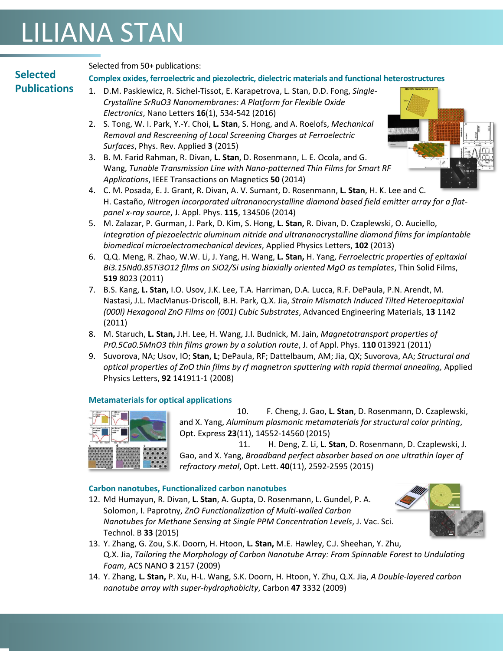## LILIANA STAN

### **Selected Publications**

Selected from 50+ publications:

#### **Complex oxides, ferroelectric and piezolectric, dielectric materials and functional heterostructures**

- 1. D.M. Paskiewicz, R. Sichel-Tissot, E. Karapetrova, L. Stan, D.D. Fong, *Single-Crystalline SrRuO3 Nanomembranes: A Platform for Flexible Oxide Electronics*, Nano Letters **16**(1), 534-542 (2016)
- 2. S. Tong, W. I. Park, Y.-Y. Choi, **L. Stan**, S. Hong, and A. Roelofs, *Mechanical Removal and Rescreening of Local Screening Charges at Ferroelectric Surfaces*, Phys. Rev. Applied **3** (2015)
- 3. B. M. Farid Rahman, R. Divan, **L. Stan**, D. Rosenmann, L. E. Ocola, and G. Wang, *Tunable Transmission Line with Nano-patterned Thin Films for Smart RF Applications*, IEEE Transactions on Magnetics **50** (2014)
- 4. C. M. Posada, E. J. Grant, R. Divan, A. V. Sumant, D. Rosenmann, **L. Stan**, H. K. Lee and C. H. Castaño, *Nitrogen incorporated ultrananocrystalline diamond based field emitter array for a flatpanel x-ray source*, J. Appl. Phys. **115**, 134506 (2014)
- 5. M. Zalazar, P. Gurman, J. Park, D. Kim, S. Hong, **L. Stan,** R. Divan, D. Czaplewski, O. Auciello, *Integration of piezoelectric aluminum nitride and ultrananocrystalline diamond films for implantable biomedical microelectromechanical devices*, Applied Physics Letters, **102** (2013)
- 6. Q.Q. Meng, R. Zhao, W.W. Li, J. Yang, H. Wang, **L. Stan,** H. Yang, *Ferroelectric properties of epitaxial Bi3.15Nd0.85Ti3O12 films on SiO2/Si using biaxially oriented MgO as templates*, Thin Solid Films, **519** 8023 (2011)
- 7. B.S. Kang, **L. Stan,** I.O. Usov, J.K. Lee, T.A. Harriman, D.A. Lucca, R.F. DePaula, P.N. Arendt, M. Nastasi, J.L. MacManus-Driscoll, B.H. Park, Q.X. Jia, *Strain Mismatch Induced Tilted Heteroepitaxial (000l) Hexagonal ZnO Films on (001) Cubic Substrates*, Advanced Engineering Materials, **13** 1142 (2011)
- 8. M. Staruch, **L. Stan,** J.H. Lee, H. Wang, J.I. Budnick, M. Jain, *Magnetotransport properties of Pr0.5Ca0.5MnO3 thin films grown by a solution route*, J. of Appl. Phys. **110** 013921 (2011)
- 9. Suvorova, NA; Usov, IO; **Stan, L**; DePaula, RF; Dattelbaum, AM; Jia, QX; Suvorova, AA; *Structural and optical properties of ZnO thin films by rf magnetron sputtering with rapid thermal annealing,* Applied Physics Letters, **92** 141911-1 (2008)

#### **Metamaterials for optical applications**



10. F. Cheng, J. Gao, **L. Stan**, D. Rosenmann, D. Czaplewski, and X. Yang, *Aluminum plasmonic metamaterials for structural color printing*, Opt. Express **23**(11), 14552-14560 (2015)

11. H. Deng, Z. Li, **L. Stan**, D. Rosenmann, D. Czaplewski, J. Gao, and X. Yang, *Broadband perfect absorber based on one ultrathin layer of refractory metal*, Opt. Lett. **40**(11), 2592-2595 (2015)

#### **Carbon nanotubes, Functionalized carbon nanotubes**

12. Md Humayun, R. Divan, **L. Stan**, A. Gupta, D. Rosenmann, L. Gundel, P. A. Solomon, I. Paprotny, *ZnO Functionalization of Multi-walled Carbon Nanotubes for Methane Sensing at Single PPM Concentration Levels*, J. Vac. Sci. Technol. B **33** (2015)



- 13. Y. Zhang, G. Zou, S.K. Doorn, H. Htoon, **L. Stan,** M.E. Hawley, C.J. Sheehan, Y. Zhu, Q.X. Jia, *Tailoring the Morphology of Carbon Nanotube Array: From Spinnable Forest to Undulating Foam*, ACS NANO **3** 2157 (2009)
- 14. Y. Zhang, **L. Stan,** P. Xu, H-L. Wang, S.K. Doorn, H. Htoon, Y. Zhu, Q.X. Jia, *A Double-layered carbon nanotube array with super-hydrophobicity*, Carbon **47** 3332 (2009)